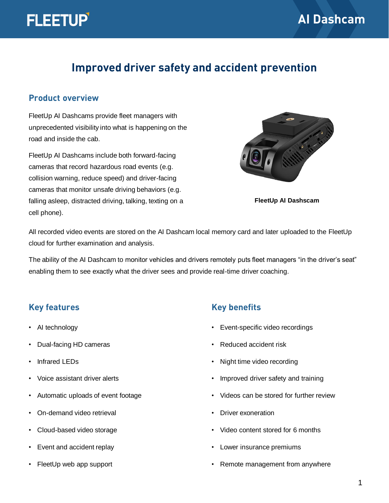

# **Improved driver safety and accident prevention**

#### **Product overview**

FleetUp AI Dashcams provide fleet managers with unprecedented visibility into what is happening on the road and inside the cab.

FleetUp AI Dashcams include both forward-facing cameras that record hazardous road events (e.g. collision warning, reduce speed) and driver-facing cameras that monitor unsafe driving behaviors (e.g. falling asleep, distracted driving, talking, texting on a cell phone).



**FleetUp AI Dashscam**

All recorded video events are stored on the AI Dashcam local memory card and later uploaded to the FleetUp cloud for further examination and analysis.

The ability of the AI Dashcam to monitor vehicles and drivers remotely puts fleet managers "in the driver's seat" enabling them to see exactly what the driver sees and provide real-time driver coaching.

#### **Key features**

- AI technology
- Dual-facing HD cameras
- Infrared LEDs
- Voice assistant driver alerts
- Automatic uploads of event footage
- On-demand video retrieval
- Cloud-based video storage
- Event and accident replay
- FleetUp web app support

### **Key benefits**

- Event-specific video recordings
- Reduced accident risk
- Night time video recording
- Improved driver safety and training
- Videos can be stored for further review
- Driver exoneration
- Video content stored for 6 months
- Lower insurance premiums
- Remote management from anywhere